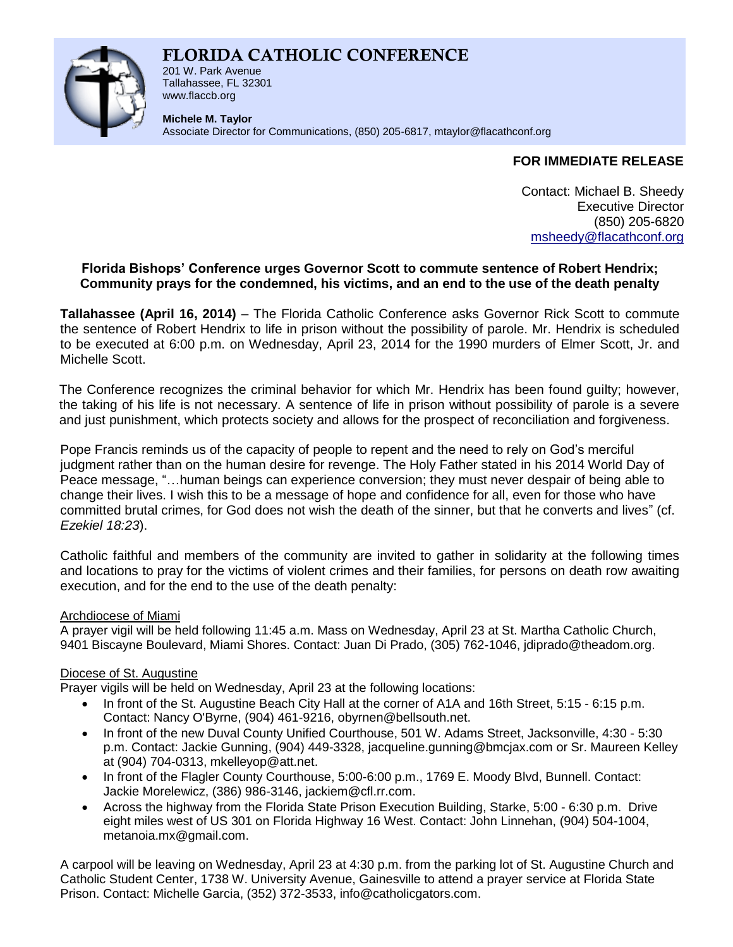# **FLORIDA CATHOLIC CONFERENCE**



201 W. Park Avenue Tallahassee, FL 32301 www.flaccb.org

**Michele M. Taylor** Associate Director for Communications, (850) 205-6817, [mtaylor@flacathconf.org](mailto:mtaylor@flacathconf.org)

## **FOR IMMEDIATE RELEASE**

Contact: Michael B. Sheedy Executive Director (850) 205-6820 [msheedy@flacathconf.org](mailto:msheedy@flacathconf.org)

## **Florida Bishops' Conference urges Governor Scott to commute sentence of Robert Hendrix; Community prays for the condemned, his victims, and an end to the use of the death penalty**

**Tallahassee (April 16, 2014)** – The Florida Catholic Conference asks Governor Rick Scott to commute the sentence of Robert Hendrix to life in prison without the possibility of parole. Mr. Hendrix is scheduled to be executed at 6:00 p.m. on Wednesday, April 23, 2014 for the 1990 murders of Elmer Scott, Jr. and Michelle Scott.

The Conference recognizes the criminal behavior for which Mr. Hendrix has been found guilty; however, the taking of his life is not necessary. A sentence of life in prison without possibility of parole is a severe and just punishment, which protects society and allows for the prospect of reconciliation and forgiveness.

Pope Francis reminds us of the capacity of people to repent and the need to rely on God's merciful judgment rather than on the human desire for revenge. The Holy Father stated in his 2014 World Day of Peace message, "…human beings can experience conversion; they must never despair of being able to change their lives. I wish this to be a message of hope and confidence for all, even for those who have committed brutal crimes, for God does not wish the death of the sinner, but that he converts and lives" (cf. *Ezekiel 18:23*).

Catholic faithful and members of the community are invited to gather in solidarity at the following times and locations to pray for the victims of violent crimes and their families, for persons on death row awaiting execution, and for the end to the use of the death penalty:

### Archdiocese of Miami

A prayer vigil will be held following 11:45 a.m. Mass on Wednesday, April 23 at St. Martha Catholic Church, 9401 Biscayne Boulevard, Miami Shores. Contact: Juan Di Prado, (305) 762-1046, jdiprado@theadom.org.

## Diocese of St. Augustine

Prayer vigils will be held on Wednesday, April 23 at the following locations:

- In front of the St. Augustine Beach City Hall at the corner of A1A and 16th Street, 5:15 6:15 p.m. Contact: Nancy O'Byrne, (904) 461-9216, obyrnen@bellsouth.net.
- In front of the new Duval County Unified Courthouse, 501 W. Adams Street, Jacksonville, 4:30 5:30 p.m. Contact: Jackie Gunning, (904) 449-3328, jacqueline.gunning@bmcjax.com or Sr. Maureen Kelley at (904) 704-0313, mkelleyop@att.net.
- In front of the Flagler County Courthouse, 5:00-6:00 p.m., 1769 E. Moody Blvd, Bunnell. Contact: Jackie Morelewicz, (386) 986-3146, jackiem@cfl.rr.com.
- Across the highway from the Florida State Prison Execution Building, Starke, 5:00 6:30 p.m. Drive eight miles west of US 301 on Florida Highway 16 West. Contact: John Linnehan, (904) 504-1004, metanoia.mx@gmail.com.

A carpool will be leaving on Wednesday, April 23 at 4:30 p.m. from the parking lot of St. Augustine Church and Catholic Student Center, 1738 W. University Avenue, Gainesville to attend a prayer service at Florida State Prison. Contact: Michelle Garcia, (352) 372-3533, info@catholicgators.com.